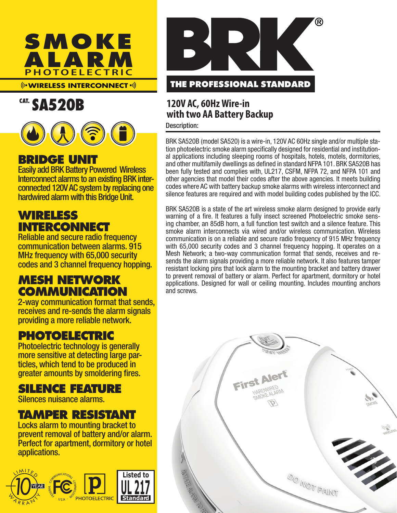

### **WIRELESS INTERCONNECT**

# CAT. SA520B



### **BRIDGE UNIT**

Easily add BRK Battery Powered Wireless connected 120V AC system by replacing one hardwired alarm with this Bridge Unit.

## **WIRELESS INTERCONNECT**

Reliable and secure radio frequency communication between alarms. 915 MHz frequency with 65,000 security codes and 3 channel frequency hopping.

## **MESH NETWORK COMMUNICATION**

2-way communication format that sends, receives and re-sends the alarm signals providing a more reliable network.

## **PHOTOELECTRIC**

Photoelectric technology is generally more sensitive at detecting large par- ticles, which tend to be produced in greater amounts by smoldering fires.

## **SILENCE FEATURE**

Silences nuisance alarms.

## **TAMPER RESISTANT**

Locks alarm to mounting bracket to prevent removal of battery and/or alarm. Perfect for apartment, dormitory or hotel applications.





### **120V AC, 60Hz Wire-in with two AA Battery Backup**

Description:

BRK SA520B (model SA520) is a wire-in, 120V AC 60Hz single and/or multiple station photoelectric smoke alarm specifically designed for residential and institutional applications including sleeping rooms of hospitals, hotels, motels, dormitories, and other multifamily dwellings as defined in standard NFPA 101. BRK SA520B has been fully tested and complies with, UL217, CSFM, NFPA 72, and NFPA 101 and other agencies that model their codes after the above agencies. It meets building codes where AC with battery backup smoke alarms with wireless interconnect and silence features are required and with model building codes published by the ICC.

BRK SA520B is a state of the art wireless smoke alarm designed to provide early warning of a fire. It features a fully insect screened Photoelectric smoke sensing chamber, an 85dB horn, a full function test switch and a silence feature. This smoke alarm interconnects via wired and/or wireless communication. Wireless communication is on a reliable and secure radio frequency of 915 MHz frequency with 65,000 security codes and 3 channel frequency hopping. It operates on a Mesh Network; a two-way communication format that sends, receives and resends the alarm signals providing a more reliable network. It also features tamper resistant locking pins that lock alarm to the mounting bracket and battery drawer to prevent removal of battery or alarm. Perfect for apartment, dormitory or hotel applications. Designed for wall or ceiling mounting. Includes mounting anchors and screws.